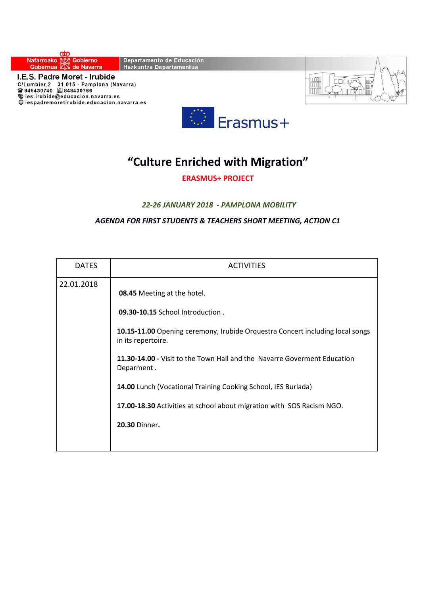



## **"Culture Enriched with Migration"**

**ERASMUS+ PROJECT** 

## *22-26 JANUARY 2018 - PAMPLONA MOBILITY*

*AGENDA FOR FIRST STUDENTS & TEACHERS SHORT MEETING, ACTION C1* 

| <b>DATES</b> | <b>ACTIVITIES</b>                                                                                                                                                                                                                                                                                                                                                                                                                         |
|--------------|-------------------------------------------------------------------------------------------------------------------------------------------------------------------------------------------------------------------------------------------------------------------------------------------------------------------------------------------------------------------------------------------------------------------------------------------|
| 22.01.2018   | <b>08.45</b> Meeting at the hotel.<br>09.30-10.15 School Introduction.<br>10.15-11.00 Opening ceremony, Irubide Orquestra Concert including local songs<br>in its repertoire.<br>11.30-14.00 - Visit to the Town Hall and the Navarre Goverment Education<br>Deparment.<br>14.00 Lunch (Vocational Training Cooking School, IES Burlada)<br>17.00-18.30 Activities at school about migration with SOS Racism NGO.<br><b>20.30 Dinner.</b> |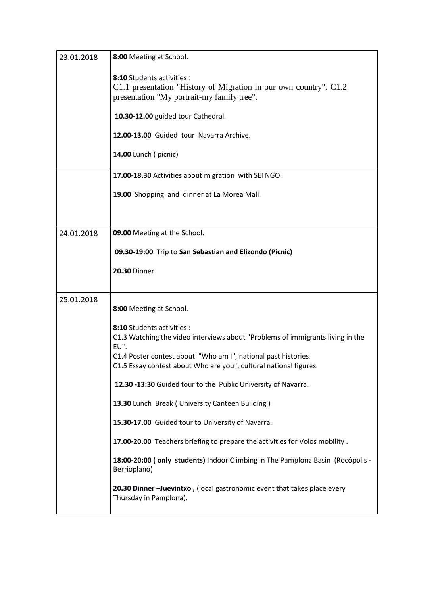| 23.01.2018 | 8:00 Meeting at School.                                                                                                                       |
|------------|-----------------------------------------------------------------------------------------------------------------------------------------------|
|            | 8:10 Students activities :<br>C1.1 presentation "History of Migration in our own country". C1.2<br>presentation "My portrait-my family tree". |
|            | 10.30-12.00 guided tour Cathedral.                                                                                                            |
|            | 12.00-13.00 Guided tour Navarra Archive.                                                                                                      |
|            | 14.00 Lunch (picnic)                                                                                                                          |
|            | 17.00-18.30 Activities about migration with SEI NGO.                                                                                          |
|            | 19.00 Shopping and dinner at La Morea Mall.                                                                                                   |
|            |                                                                                                                                               |
| 24.01.2018 | 09.00 Meeting at the School.                                                                                                                  |
|            | 09.30-19:00 Trip to San Sebastian and Elizondo (Picnic)                                                                                       |
|            | <b>20.30 Dinner</b>                                                                                                                           |
| 25.01.2018 | 8:00 Meeting at School.                                                                                                                       |
|            | 8:10 Students activities :<br>C1.3 Watching the video interviews about "Problems of immigrants living in the<br>EU".                          |
|            | C1.4 Poster contest about "Who am I", national past histories.<br>C1.5 Essay contest about Who are you", cultural national figures.           |
|            | 12.30 -13:30 Guided tour to the Public University of Navarra.                                                                                 |
|            | 13.30 Lunch Break ( University Canteen Building )                                                                                             |
|            | 15.30-17.00 Guided tour to University of Navarra.                                                                                             |
|            | 17.00-20.00 Teachers briefing to prepare the activities for Volos mobility.                                                                   |
|            | 18:00-20:00 (only students) Indoor Climbing in The Pamplona Basin (Rocópolis -<br>Berrioplano)                                                |
|            | 20.30 Dinner -Juevintxo, (local gastronomic event that takes place every<br>Thursday in Pamplona).                                            |